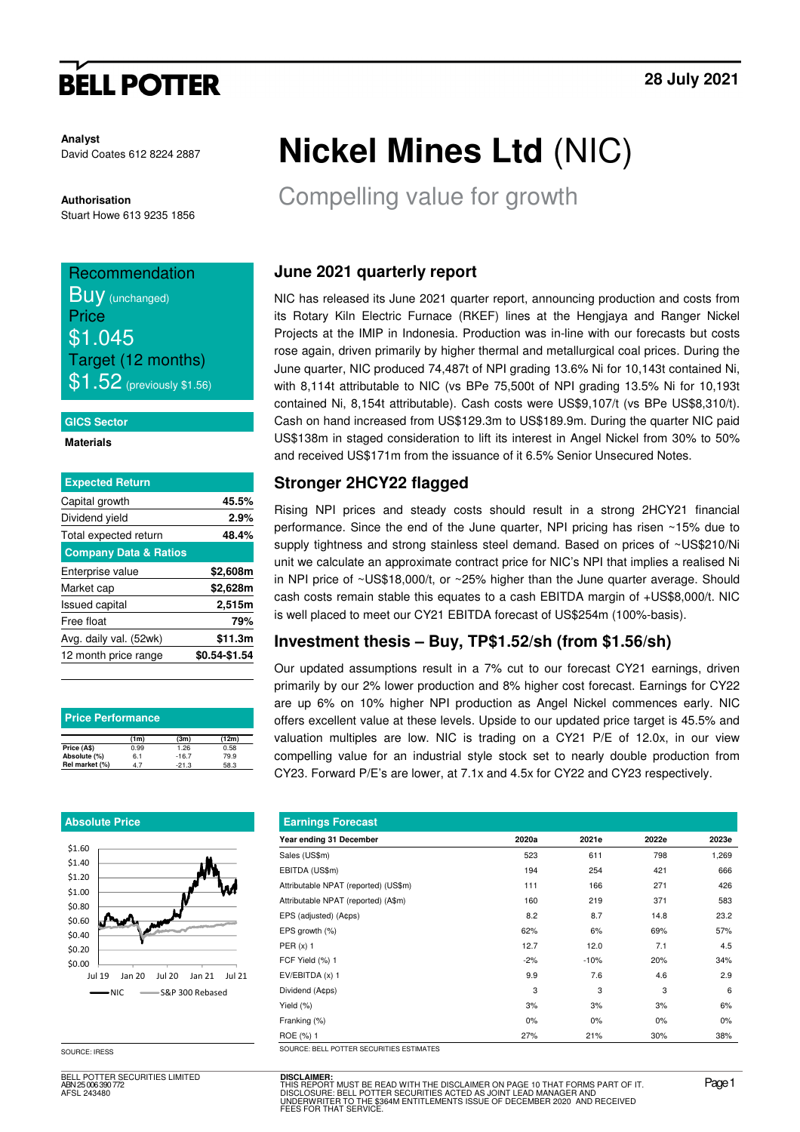# **BELL POTTER**

**Analyst** David Coates 612 8224 2887

**Authorisation**  Stuart Howe 613 9235 1856

## Recommendation **Buy** (unchanged)

**Price** \$1.045 Target (12 months)  $\$1.52$  (previously \$1.56)

#### **GICS Sector**

**Materials** 

| <b>Expected Return</b>           |               |
|----------------------------------|---------------|
| Capital growth                   | 45.5%         |
| Dividend yield                   | 2.9%          |
| Total expected return            | 48.4%         |
| <b>Company Data &amp; Ratios</b> |               |
| Enterprise value                 | \$2,608m      |
| Market cap                       | \$2,628m      |
| <b>Issued capital</b>            | 2,515m        |
| Free float                       | 79%           |
| Avg. daily val. (52wk)           | \$11.3m       |
| 12 month price range             | \$0.54-\$1.54 |
|                                  |               |

| <b>Price Performance</b> |      |         |       |  |  |  |  |  |
|--------------------------|------|---------|-------|--|--|--|--|--|
|                          | (1m) | (3m)    | (12m) |  |  |  |  |  |
| Price (A\$)              | 0.99 | 1.26    | 0.58  |  |  |  |  |  |
| Absolute (%)             | 6.1  | $-16.7$ | 79.9  |  |  |  |  |  |
| Rel market (%)           | 47   | $-21.3$ | 58.3  |  |  |  |  |  |

### **Absolute Price**



SOURCE: IRESS

BELL POTTER SECURITIES LIMITED ABN 25 006 390 772 AFSL 243480

# **Nickel Mines Ltd** (NIC)

Compelling value for growth

## **June 2021 quarterly report**

NIC has released its June 2021 quarter report, announcing production and costs from its Rotary Kiln Electric Furnace (RKEF) lines at the Hengjaya and Ranger Nickel Projects at the IMIP in Indonesia. Production was in-line with our forecasts but costs rose again, driven primarily by higher thermal and metallurgical coal prices. During the June quarter, NIC produced 74,487t of NPI grading 13.6% Ni for 10,143t contained Ni, with 8,114t attributable to NIC (vs BPe 75,500t of NPI grading 13.5% Ni for 10,193t contained Ni, 8,154t attributable). Cash costs were US\$9,107/t (vs BPe US\$8,310/t). Cash on hand increased from US\$129.3m to US\$189.9m. During the quarter NIC paid US\$138m in staged consideration to lift its interest in Angel Nickel from 30% to 50% and received US\$171m from the issuance of it 6.5% Senior Unsecured Notes.

## **Stronger 2HCY22 flagged**

Rising NPI prices and steady costs should result in a strong 2HCY21 financial performance. Since the end of the June quarter, NPI pricing has risen ~15% due to supply tightness and strong stainless steel demand. Based on prices of ~US\$210/Ni unit we calculate an approximate contract price for NIC's NPI that implies a realised Ni in NPI price of ~US\$18,000/t, or ~25% higher than the June quarter average. Should cash costs remain stable this equates to a cash EBITDA margin of +US\$8,000/t. NIC is well placed to meet our CY21 EBITDA forecast of US\$254m (100%-basis).

### **Investment thesis – Buy, TP\$1.52/sh (from \$1.56/sh)**

Our updated assumptions result in a 7% cut to our forecast CY21 earnings, driven primarily by our 2% lower production and 8% higher cost forecast. Earnings for CY22 are up 6% on 10% higher NPI production as Angel Nickel commences early. NIC offers excellent value at these levels. Upside to our updated price target is 45.5% and valuation multiples are low. NIC is trading on a CY21 P/E of 12.0x, in our view compelling value for an industrial style stock set to nearly double production from CY23. Forward P/E's are lower, at 7.1x and 4.5x for CY22 and CY23 respectively.

| <b>Earnings Forecast</b> |        |       |       |  |  |  |  |  |  |
|--------------------------|--------|-------|-------|--|--|--|--|--|--|
| 2020a                    | 2021e  | 2022e | 2023e |  |  |  |  |  |  |
| 523                      | 611    | 798   | 1,269 |  |  |  |  |  |  |
| 194                      | 254    | 421   | 666   |  |  |  |  |  |  |
| 111                      | 166    | 271   | 426   |  |  |  |  |  |  |
| 160                      | 219    | 371   | 583   |  |  |  |  |  |  |
| 8.2                      | 8.7    | 14.8  | 23.2  |  |  |  |  |  |  |
| 62%                      | 6%     | 69%   | 57%   |  |  |  |  |  |  |
| 12.7                     | 12.0   | 7.1   | 4.5   |  |  |  |  |  |  |
| $-2%$                    | $-10%$ | 20%   | 34%   |  |  |  |  |  |  |
| 9.9                      | 7.6    | 4.6   | 2.9   |  |  |  |  |  |  |
| 3                        | 3      | 3     | 6     |  |  |  |  |  |  |
| 3%                       | 3%     | 3%    | 6%    |  |  |  |  |  |  |
| $0\%$                    | 0%     | $0\%$ | $0\%$ |  |  |  |  |  |  |
| 27%                      | 21%    | 30%   | 38%   |  |  |  |  |  |  |
|                          |        |       |       |  |  |  |  |  |  |

**DISCLAIMER:** THIS REPORT MUST BE READ WITH THE DISCLAIMER ON PAGE 10 THAT FORMS PART OF IT.<br>DISCLOSURE: BELL POTTER SECURITIES ACTED AS JOINT LEAD MANAGER AND<br>UNDERWRITER TO THE \$364M ENTITLEMENTS ISSUE OF DECEMBER 2020 AND RECEIVED<br>F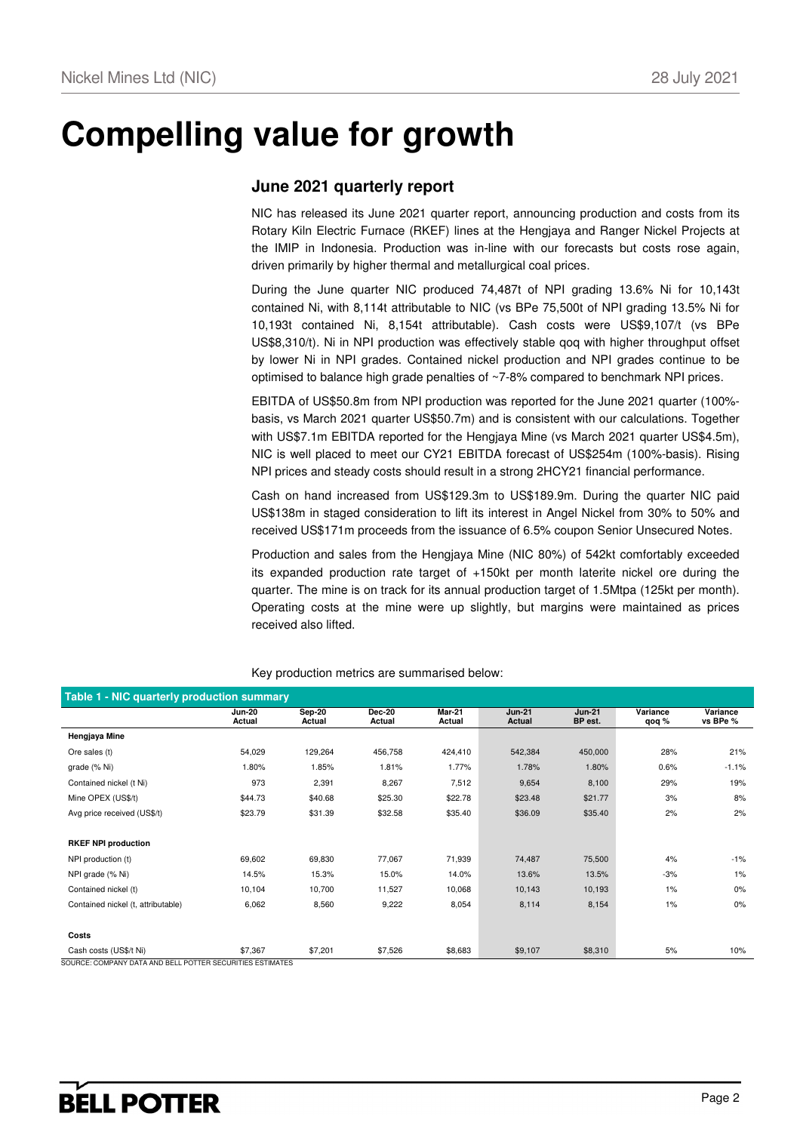## **Compelling value for growth**

### **June 2021 quarterly report**

NIC has released its June 2021 quarter report, announcing production and costs from its Rotary Kiln Electric Furnace (RKEF) lines at the Hengjaya and Ranger Nickel Projects at the IMIP in Indonesia. Production was in-line with our forecasts but costs rose again, driven primarily by higher thermal and metallurgical coal prices.

During the June quarter NIC produced 74,487t of NPI grading 13.6% Ni for 10,143t contained Ni, with 8,114t attributable to NIC (vs BPe 75,500t of NPI grading 13.5% Ni for 10,193t contained Ni, 8,154t attributable). Cash costs were US\$9,107/t (vs BPe US\$8,310/t). Ni in NPI production was effectively stable qoq with higher throughput offset by lower Ni in NPI grades. Contained nickel production and NPI grades continue to be optimised to balance high grade penalties of ~7-8% compared to benchmark NPI prices.

EBITDA of US\$50.8m from NPI production was reported for the June 2021 quarter (100% basis, vs March 2021 quarter US\$50.7m) and is consistent with our calculations. Together with US\$7.1m EBITDA reported for the Hengjaya Mine (vs March 2021 quarter US\$4.5m), NIC is well placed to meet our CY21 EBITDA forecast of US\$254m (100%-basis). Rising NPI prices and steady costs should result in a strong 2HCY21 financial performance.

Cash on hand increased from US\$129.3m to US\$189.9m. During the quarter NIC paid US\$138m in staged consideration to lift its interest in Angel Nickel from 30% to 50% and received US\$171m proceeds from the issuance of 6.5% coupon Senior Unsecured Notes.

Production and sales from the Hengjaya Mine (NIC 80%) of 542kt comfortably exceeded its expanded production rate target of +150kt per month laterite nickel ore during the quarter. The mine is on track for its annual production target of 1.5Mtpa (125kt per month). Operating costs at the mine were up slightly, but margins were maintained as prices received also lifted.

| <b>Table 1 - NIC quarterly production summary</b>         |                         |                         |                         |                         |                         |                          |                   |                      |  |  |
|-----------------------------------------------------------|-------------------------|-------------------------|-------------------------|-------------------------|-------------------------|--------------------------|-------------------|----------------------|--|--|
|                                                           | <b>Jun-20</b><br>Actual | <b>Sep-20</b><br>Actual | <b>Dec-20</b><br>Actual | <b>Mar-21</b><br>Actual | <b>Jun-21</b><br>Actual | <b>Jun-21</b><br>BP est. | Variance<br>qoq % | Variance<br>vs BPe % |  |  |
| Hengjaya Mine                                             |                         |                         |                         |                         |                         |                          |                   |                      |  |  |
| Ore sales (t)                                             | 54,029                  | 129,264                 | 456,758                 | 424,410                 | 542,384                 | 450,000                  | 28%               | 21%                  |  |  |
| grade (% Ni)                                              | 1.80%                   | 1.85%                   | 1.81%                   | 1.77%                   | 1.78%                   | 1.80%                    | 0.6%              | $-1.1%$              |  |  |
| Contained nickel (t Ni)                                   | 973                     | 2,391                   | 8,267                   | 7,512                   | 9,654                   | 8,100                    | 29%               | 19%                  |  |  |
| Mine OPEX (US\$/t)                                        | \$44.73                 | \$40.68                 | \$25.30                 | \$22.78                 | \$23.48                 | \$21.77                  | 3%                | 8%                   |  |  |
| Avg price received (US\$/t)                               | \$23.79                 | \$31.39                 | \$32.58                 | \$35.40                 | \$36.09                 | \$35.40                  | 2%                | 2%                   |  |  |
|                                                           |                         |                         |                         |                         |                         |                          |                   |                      |  |  |
| <b>RKEF NPI production</b>                                |                         |                         |                         |                         |                         |                          |                   |                      |  |  |
| NPI production (t)                                        | 69,602                  | 69,830                  | 77,067                  | 71,939                  | 74,487                  | 75,500                   | 4%                | $-1%$                |  |  |
| NPI grade (% Ni)                                          | 14.5%                   | 15.3%                   | 15.0%                   | 14.0%                   | 13.6%                   | 13.5%                    | $-3%$             | $1\%$                |  |  |
| Contained nickel (t)                                      | 10,104                  | 10,700                  | 11,527                  | 10,068                  | 10,143                  | 10,193                   | $1\%$             | 0%                   |  |  |
| Contained nickel (t, attributable)                        | 6,062                   | 8,560                   | 9,222                   | 8,054                   | 8,114                   | 8,154                    | $1\%$             | $0\%$                |  |  |
|                                                           |                         |                         |                         |                         |                         |                          |                   |                      |  |  |
| Costs                                                     |                         |                         |                         |                         |                         |                          |                   |                      |  |  |
| Cash costs (US\$/t Ni)                                    | \$7,367                 | \$7,201                 | \$7,526                 | \$8,683                 | \$9,107                 | \$8,310                  | 5%                | 10%                  |  |  |
| SOURCE: COMPANY DATA AND BELL POTTER SECURITIES ESTIMATES |                         |                         |                         |                         |                         |                          |                   |                      |  |  |

Key production metrics are summarised below:

SOURCE: COMPANY DATA AND BELL POTTER SECURITIES ESTIMATES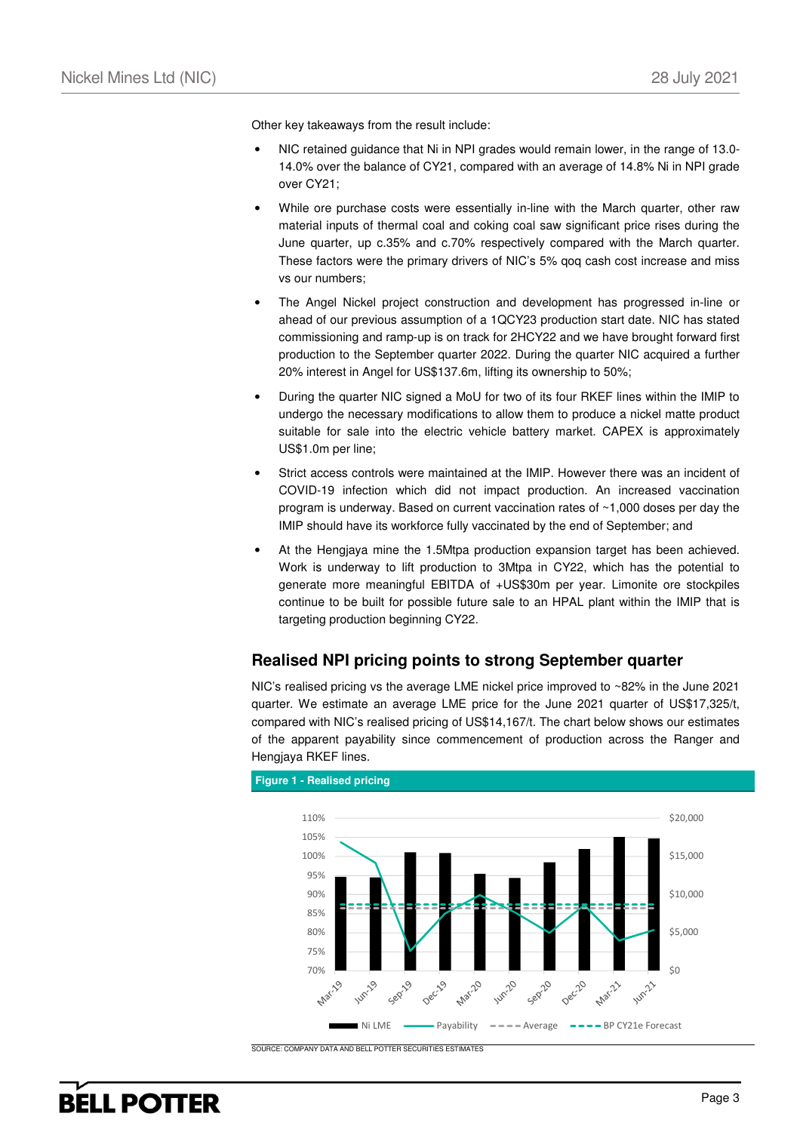Other key takeaways from the result include:

- NIC retained guidance that Ni in NPI grades would remain lower, in the range of 13.0- 14.0% over the balance of CY21, compared with an average of 14.8% Ni in NPI grade over CY21;
- While ore purchase costs were essentially in-line with the March quarter, other raw material inputs of thermal coal and coking coal saw significant price rises during the June quarter, up c.35% and c.70% respectively compared with the March quarter. These factors were the primary drivers of NIC's 5% qoq cash cost increase and miss vs our numbers;
- The Angel Nickel project construction and development has progressed in-line or ahead of our previous assumption of a 1QCY23 production start date. NIC has stated commissioning and ramp-up is on track for 2HCY22 and we have brought forward first production to the September quarter 2022. During the quarter NIC acquired a further 20% interest in Angel for US\$137.6m, lifting its ownership to 50%;
- During the quarter NIC signed a MoU for two of its four RKEF lines within the IMIP to undergo the necessary modifications to allow them to produce a nickel matte product suitable for sale into the electric vehicle battery market. CAPEX is approximately US\$1.0m per line;
- Strict access controls were maintained at the IMIP. However there was an incident of COVID-19 infection which did not impact production. An increased vaccination program is underway. Based on current vaccination rates of ~1,000 doses per day the IMIP should have its workforce fully vaccinated by the end of September; and
- At the Hengjaya mine the 1.5Mtpa production expansion target has been achieved. Work is underway to lift production to 3Mtpa in CY22, which has the potential to generate more meaningful EBITDA of +US\$30m per year. Limonite ore stockpiles continue to be built for possible future sale to an HPAL plant within the IMIP that is targeting production beginning CY22.

### **Realised NPI pricing points to strong September quarter**

NIC's realised pricing vs the average LME nickel price improved to ~82% in the June 2021 quarter. We estimate an average LME price for the June 2021 quarter of US\$17,325/t, compared with NIC's realised pricing of US\$14,167/t. The chart below shows our estimates of the apparent payability since commencement of production across the Ranger and Hengjaya RKEF lines.



### **Figure 1 - Realised pricing**

SOURCE: COMPANY DATA AND BELL POTTER SECURITIES ESTIMATES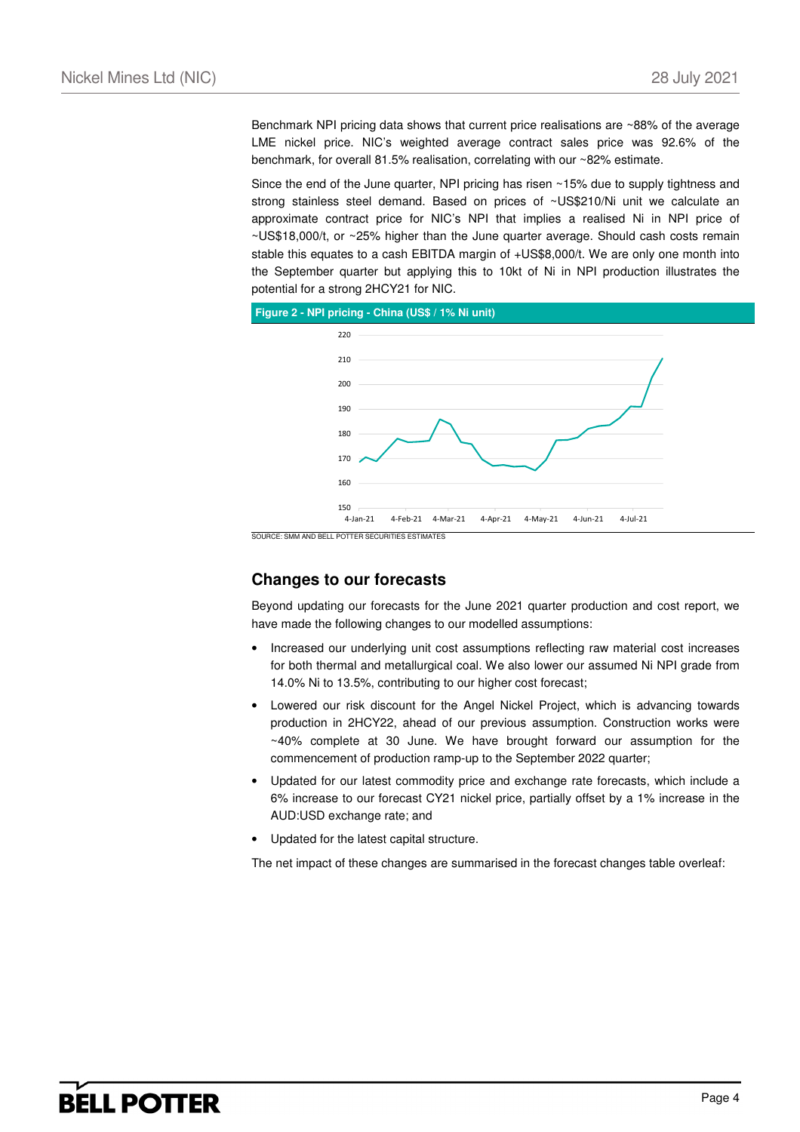Benchmark NPI pricing data shows that current price realisations are ~88% of the average LME nickel price. NIC's weighted average contract sales price was 92.6% of the benchmark, for overall 81.5% realisation, correlating with our ~82% estimate.

Since the end of the June quarter, NPI pricing has risen ~15% due to supply tightness and strong stainless steel demand. Based on prices of ~US\$210/Ni unit we calculate an approximate contract price for NIC's NPI that implies a realised Ni in NPI price of ~US\$18,000/t, or ~25% higher than the June quarter average. Should cash costs remain stable this equates to a cash EBITDA margin of +US\$8,000/t. We are only one month into the September quarter but applying this to 10kt of Ni in NPI production illustrates the potential for a strong 2HCY21 for NIC.





### **Changes to our forecasts**

Beyond updating our forecasts for the June 2021 quarter production and cost report, we have made the following changes to our modelled assumptions:

- Increased our underlying unit cost assumptions reflecting raw material cost increases for both thermal and metallurgical coal. We also lower our assumed Ni NPI grade from 14.0% Ni to 13.5%, contributing to our higher cost forecast;
- Lowered our risk discount for the Angel Nickel Project, which is advancing towards production in 2HCY22, ahead of our previous assumption. Construction works were ~40% complete at 30 June. We have brought forward our assumption for the commencement of production ramp-up to the September 2022 quarter;
- Updated for our latest commodity price and exchange rate forecasts, which include a 6% increase to our forecast CY21 nickel price, partially offset by a 1% increase in the AUD:USD exchange rate; and
- Updated for the latest capital structure.

The net impact of these changes are summarised in the forecast changes table overleaf:

## **BELL POTTER**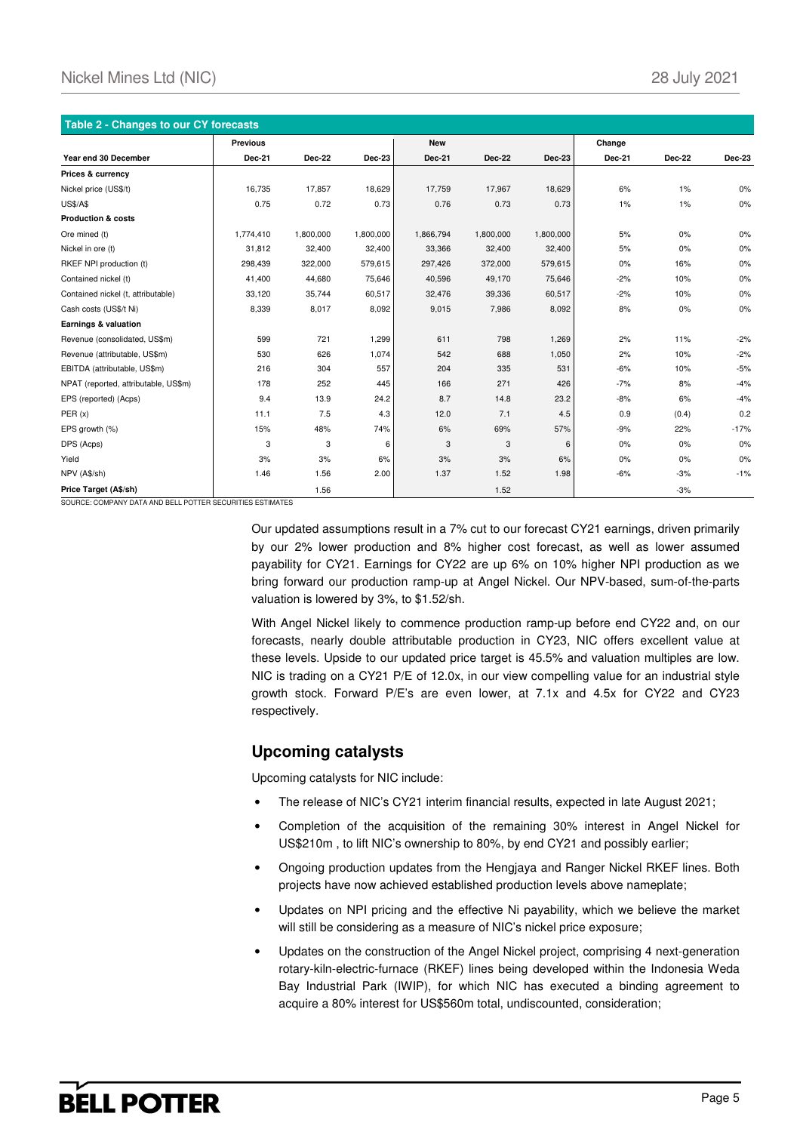| Table 2 - Changes to our CY forecasts |                 |               |           |               |               |           |        |        |        |  |
|---------------------------------------|-----------------|---------------|-----------|---------------|---------------|-----------|--------|--------|--------|--|
|                                       | <b>Previous</b> |               |           | <b>New</b>    |               |           | Change |        |        |  |
| Year end 30 December                  | <b>Dec-21</b>   | <b>Dec-22</b> | Dec-23    | <b>Dec-21</b> | <b>Dec-22</b> | Dec-23    | Dec-21 | Dec-22 | Dec-23 |  |
| Prices & currency                     |                 |               |           |               |               |           |        |        |        |  |
| Nickel price (US\$/t)                 | 16,735          | 17,857        | 18,629    | 17,759        | 17,967        | 18,629    | 6%     | 1%     | 0%     |  |
| <b>US\$/A\$</b>                       | 0.75            | 0.72          | 0.73      | 0.76          | 0.73          | 0.73      | 1%     | $1\%$  | 0%     |  |
| <b>Production &amp; costs</b>         |                 |               |           |               |               |           |        |        |        |  |
| Ore mined (t)                         | 1.774.410       | 1,800,000     | 1,800,000 | 1,866,794     | 1,800,000     | 1,800,000 | 5%     | 0%     | 0%     |  |
| Nickel in ore (t)                     | 31,812          | 32,400        | 32,400    | 33,366        | 32,400        | 32,400    | 5%     | 0%     | 0%     |  |
| RKEF NPI production (t)               | 298,439         | 322,000       | 579,615   | 297,426       | 372,000       | 579,615   | 0%     | 16%    | 0%     |  |
| Contained nickel (t)                  | 41,400          | 44,680        | 75,646    | 40,596        | 49,170        | 75,646    | $-2%$  | 10%    | 0%     |  |
| Contained nickel (t, attributable)    | 33,120          | 35,744        | 60,517    | 32,476        | 39,336        | 60,517    | $-2%$  | 10%    | 0%     |  |
| Cash costs (US\$/t Ni)                | 8,339           | 8,017         | 8,092     | 9,015         | 7,986         | 8,092     | 8%     | 0%     | 0%     |  |
| Earnings & valuation                  |                 |               |           |               |               |           |        |        |        |  |
| Revenue (consolidated, US\$m)         | 599             | 721           | 1,299     | 611           | 798           | 1,269     | 2%     | 11%    | $-2%$  |  |
| Revenue (attributable, US\$m)         | 530             | 626           | 1,074     | 542           | 688           | 1,050     | 2%     | 10%    | $-2%$  |  |
| EBITDA (attributable, US\$m)          | 216             | 304           | 557       | 204           | 335           | 531       | $-6%$  | 10%    | $-5%$  |  |
| NPAT (reported, attributable, US\$m)  | 178             | 252           | 445       | 166           | 271           | 426       | $-7%$  | 8%     | $-4%$  |  |
| EPS (reported) (Acps)                 | 9.4             | 13.9          | 24.2      | 8.7           | 14.8          | 23.2      | $-8%$  | 6%     | $-4%$  |  |
| PER(x)                                | 11.1            | 7.5           | 4.3       | 12.0          | 7.1           | 4.5       | 0.9    | (0.4)  | 0.2    |  |
| EPS growth (%)                        | 15%             | 48%           | 74%       | 6%            | 69%           | 57%       | $-9%$  | 22%    | $-17%$ |  |
| DPS (Acps)                            | 3               | 3             | 6         | 3             | 3             | 6         | 0%     | 0%     | 0%     |  |
| Yield                                 | 3%              | 3%            | 6%        | 3%            | 3%            | 6%        | 0%     | 0%     | 0%     |  |
| NPV (A\$/sh)                          | 1.46            | 1.56          | 2.00      | 1.37          | 1.52          | 1.98      | $-6%$  | $-3%$  | $-1%$  |  |
| Price Target (A\$/sh)                 |                 | 1.56          |           |               | 1.52          |           |        | $-3%$  |        |  |

SOURCE: COMPANY DATA AND BELL POTTER SECURI

Our updated assumptions result in a 7% cut to our forecast CY21 earnings, driven primarily by our 2% lower production and 8% higher cost forecast, as well as lower assumed payability for CY21. Earnings for CY22 are up 6% on 10% higher NPI production as we bring forward our production ramp-up at Angel Nickel. Our NPV-based, sum-of-the-parts valuation is lowered by 3%, to \$1.52/sh.

With Angel Nickel likely to commence production ramp-up before end CY22 and, on our forecasts, nearly double attributable production in CY23, NIC offers excellent value at these levels. Upside to our updated price target is 45.5% and valuation multiples are low. NIC is trading on a CY21 P/E of 12.0x, in our view compelling value for an industrial style growth stock. Forward P/E's are even lower, at 7.1x and 4.5x for CY22 and CY23 respectively.

### **Upcoming catalysts**

Upcoming catalysts for NIC include:

- The release of NIC's CY21 interim financial results, expected in late August 2021;
- Completion of the acquisition of the remaining 30% interest in Angel Nickel for US\$210m , to lift NIC's ownership to 80%, by end CY21 and possibly earlier;
- Ongoing production updates from the Hengjaya and Ranger Nickel RKEF lines. Both projects have now achieved established production levels above nameplate;
- Updates on NPI pricing and the effective Ni payability, which we believe the market will still be considering as a measure of NIC's nickel price exposure;
- Updates on the construction of the Angel Nickel project, comprising 4 next-generation rotary-kiln-electric-furnace (RKEF) lines being developed within the Indonesia Weda Bay Industrial Park (IWIP), for which NIC has executed a binding agreement to acquire a 80% interest for US\$560m total, undiscounted, consideration;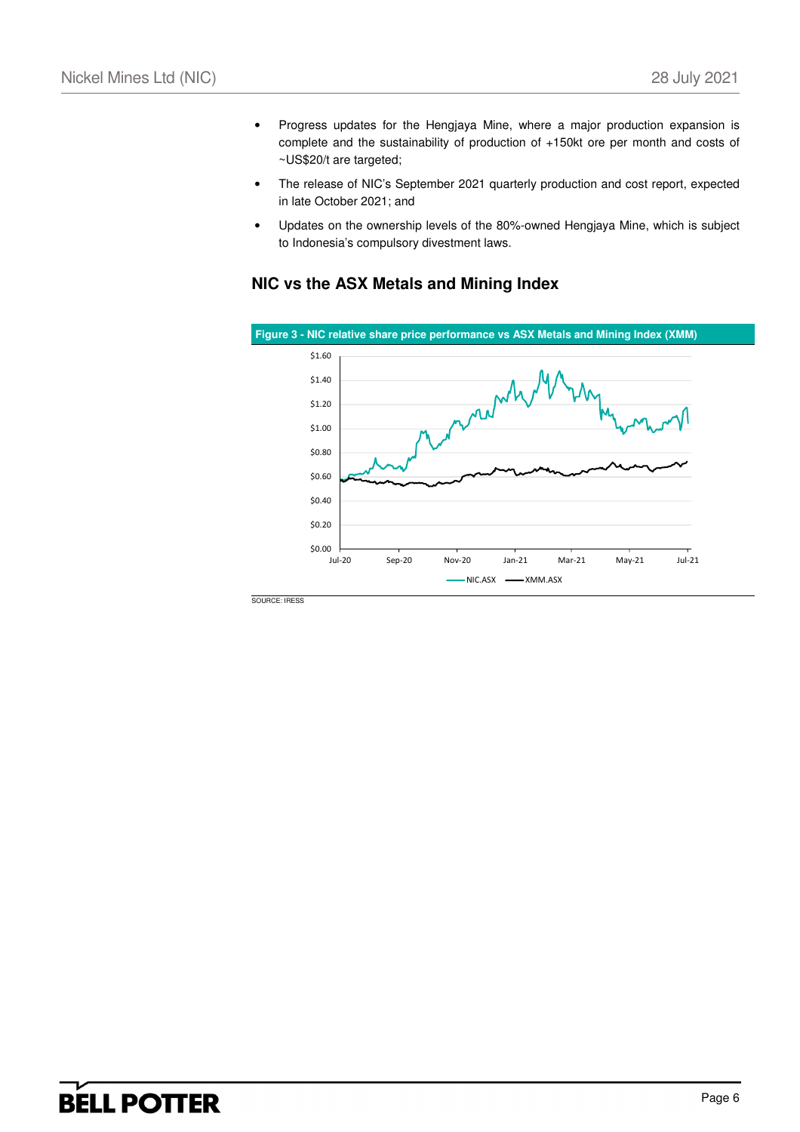- Progress updates for the Hengjaya Mine, where a major production expansion is complete and the sustainability of production of +150kt ore per month and costs of ~US\$20/t are targeted;
- The release of NIC's September 2021 quarterly production and cost report, expected in late October 2021; and
- Updates on the ownership levels of the 80%-owned Hengjaya Mine, which is subject to Indonesia's compulsory divestment laws.

### **NIC vs the ASX Metals and Mining Index**



## **BELL POTTER**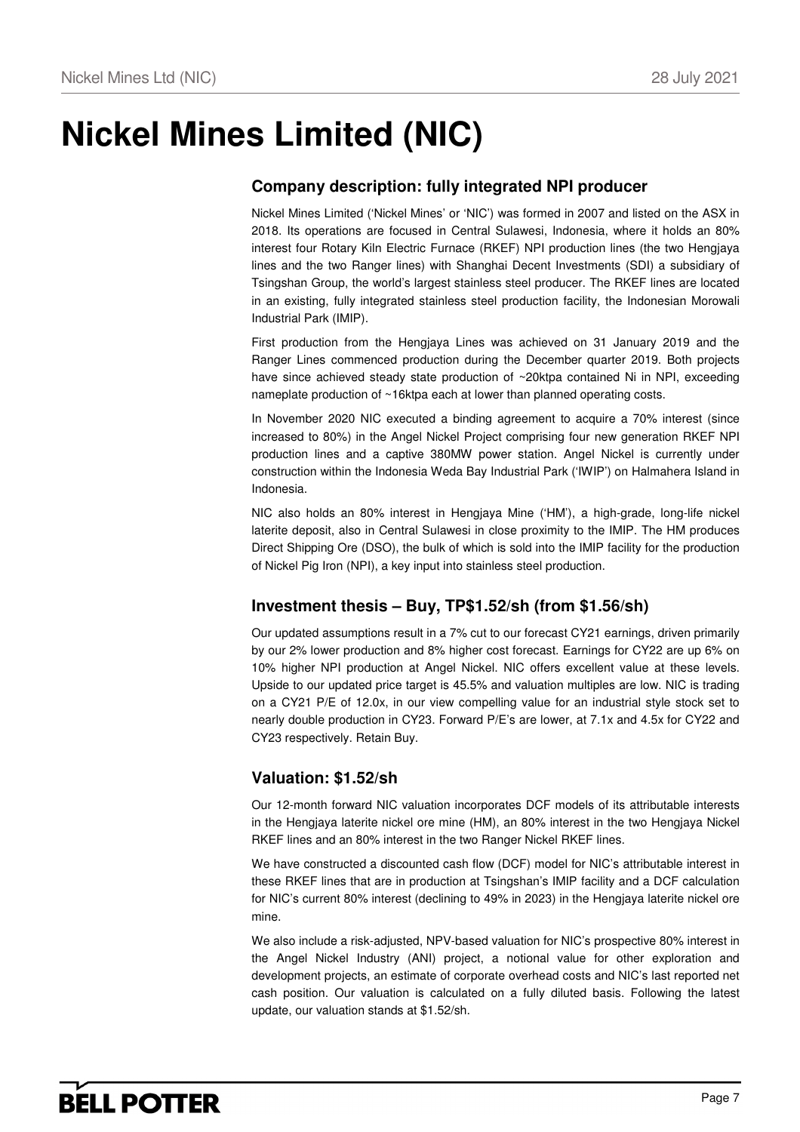# **Nickel Mines Limited (NIC)**

## **Company description: fully integrated NPI producer**

Nickel Mines Limited ('Nickel Mines' or 'NIC') was formed in 2007 and listed on the ASX in 2018. Its operations are focused in Central Sulawesi, Indonesia, where it holds an 80% interest four Rotary Kiln Electric Furnace (RKEF) NPI production lines (the two Hengjaya lines and the two Ranger lines) with Shanghai Decent Investments (SDI) a subsidiary of Tsingshan Group, the world's largest stainless steel producer. The RKEF lines are located in an existing, fully integrated stainless steel production facility, the Indonesian Morowali Industrial Park (IMIP).

First production from the Hengjaya Lines was achieved on 31 January 2019 and the Ranger Lines commenced production during the December quarter 2019. Both projects have since achieved steady state production of ~20ktpa contained Ni in NPI, exceeding nameplate production of ~16ktpa each at lower than planned operating costs.

In November 2020 NIC executed a binding agreement to acquire a 70% interest (since increased to 80%) in the Angel Nickel Project comprising four new generation RKEF NPI production lines and a captive 380MW power station. Angel Nickel is currently under construction within the Indonesia Weda Bay Industrial Park ('IWIP') on Halmahera Island in Indonesia.

NIC also holds an 80% interest in Hengjaya Mine ('HM'), a high-grade, long-life nickel laterite deposit, also in Central Sulawesi in close proximity to the IMIP. The HM produces Direct Shipping Ore (DSO), the bulk of which is sold into the IMIP facility for the production of Nickel Pig Iron (NPI), a key input into stainless steel production.

### **Investment thesis – Buy, TP\$1.52/sh (from \$1.56/sh)**

Our updated assumptions result in a 7% cut to our forecast CY21 earnings, driven primarily by our 2% lower production and 8% higher cost forecast. Earnings for CY22 are up 6% on 10% higher NPI production at Angel Nickel. NIC offers excellent value at these levels. Upside to our updated price target is 45.5% and valuation multiples are low. NIC is trading on a CY21 P/E of 12.0x, in our view compelling value for an industrial style stock set to nearly double production in CY23. Forward P/E's are lower, at 7.1x and 4.5x for CY22 and CY23 respectively. Retain Buy.

### **Valuation: \$1.52/sh**

Our 12-month forward NIC valuation incorporates DCF models of its attributable interests in the Hengjaya laterite nickel ore mine (HM), an 80% interest in the two Hengjaya Nickel RKEF lines and an 80% interest in the two Ranger Nickel RKEF lines.

We have constructed a discounted cash flow (DCF) model for NIC's attributable interest in these RKEF lines that are in production at Tsingshan's IMIP facility and a DCF calculation for NIC's current 80% interest (declining to 49% in 2023) in the Hengjaya laterite nickel ore mine.

We also include a risk-adjusted, NPV-based valuation for NIC's prospective 80% interest in the Angel Nickel Industry (ANI) project, a notional value for other exploration and development projects, an estimate of corporate overhead costs and NIC's last reported net cash position. Our valuation is calculated on a fully diluted basis. Following the latest update, our valuation stands at \$1.52/sh.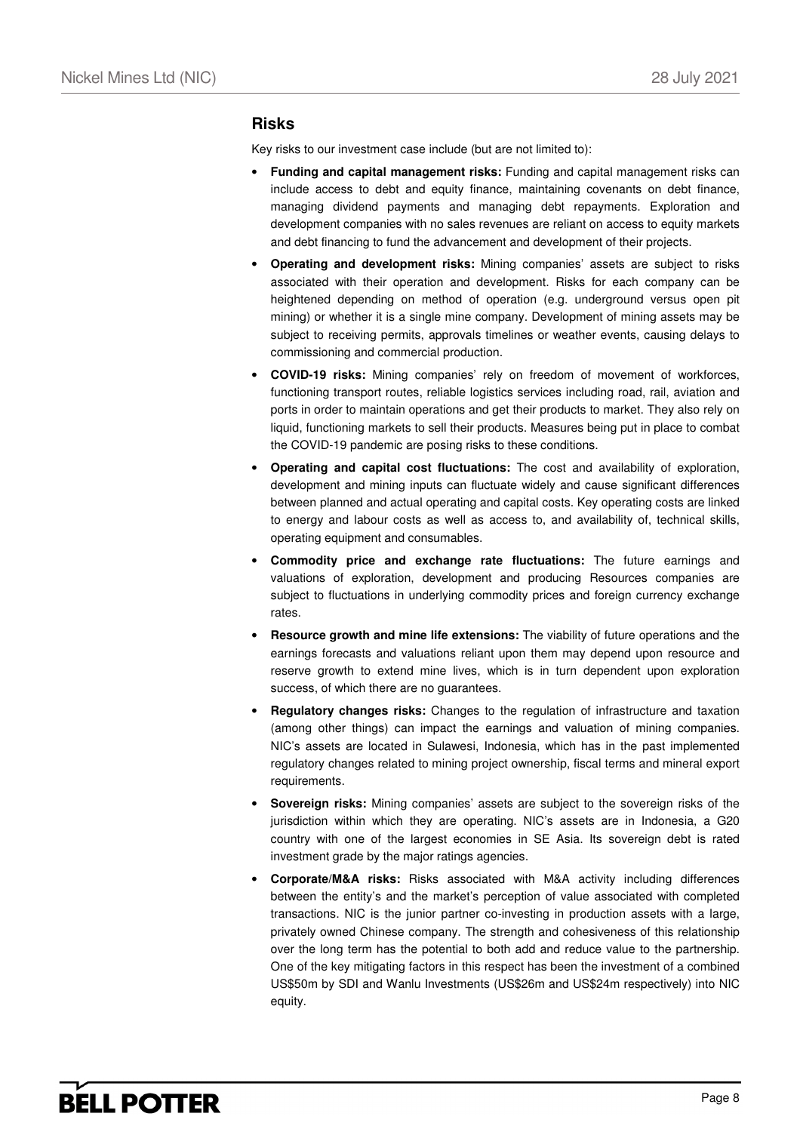### **Risks**

Key risks to our investment case include (but are not limited to):

- **Funding and capital management risks:** Funding and capital management risks can include access to debt and equity finance, maintaining covenants on debt finance, managing dividend payments and managing debt repayments. Exploration and development companies with no sales revenues are reliant on access to equity markets and debt financing to fund the advancement and development of their projects.
- **Operating and development risks:** Mining companies' assets are subject to risks associated with their operation and development. Risks for each company can be heightened depending on method of operation (e.g. underground versus open pit mining) or whether it is a single mine company. Development of mining assets may be subject to receiving permits, approvals timelines or weather events, causing delays to commissioning and commercial production.
- **COVID-19 risks:** Mining companies' rely on freedom of movement of workforces, functioning transport routes, reliable logistics services including road, rail, aviation and ports in order to maintain operations and get their products to market. They also rely on liquid, functioning markets to sell their products. Measures being put in place to combat the COVID-19 pandemic are posing risks to these conditions.
- **Operating and capital cost fluctuations:** The cost and availability of exploration, development and mining inputs can fluctuate widely and cause significant differences between planned and actual operating and capital costs. Key operating costs are linked to energy and labour costs as well as access to, and availability of, technical skills, operating equipment and consumables.
- **Commodity price and exchange rate fluctuations:** The future earnings and valuations of exploration, development and producing Resources companies are subject to fluctuations in underlying commodity prices and foreign currency exchange rates.
- **Resource growth and mine life extensions:** The viability of future operations and the earnings forecasts and valuations reliant upon them may depend upon resource and reserve growth to extend mine lives, which is in turn dependent upon exploration success, of which there are no guarantees.
- **Regulatory changes risks:** Changes to the regulation of infrastructure and taxation (among other things) can impact the earnings and valuation of mining companies. NIC's assets are located in Sulawesi, Indonesia, which has in the past implemented regulatory changes related to mining project ownership, fiscal terms and mineral export requirements.
- **Sovereign risks:** Mining companies' assets are subject to the sovereign risks of the jurisdiction within which they are operating. NIC's assets are in Indonesia, a G20 country with one of the largest economies in SE Asia. Its sovereign debt is rated investment grade by the major ratings agencies.
- **Corporate/M&A risks:** Risks associated with M&A activity including differences between the entity's and the market's perception of value associated with completed transactions. NIC is the junior partner co-investing in production assets with a large, privately owned Chinese company. The strength and cohesiveness of this relationship over the long term has the potential to both add and reduce value to the partnership. One of the key mitigating factors in this respect has been the investment of a combined US\$50m by SDI and Wanlu Investments (US\$26m and US\$24m respectively) into NIC equity.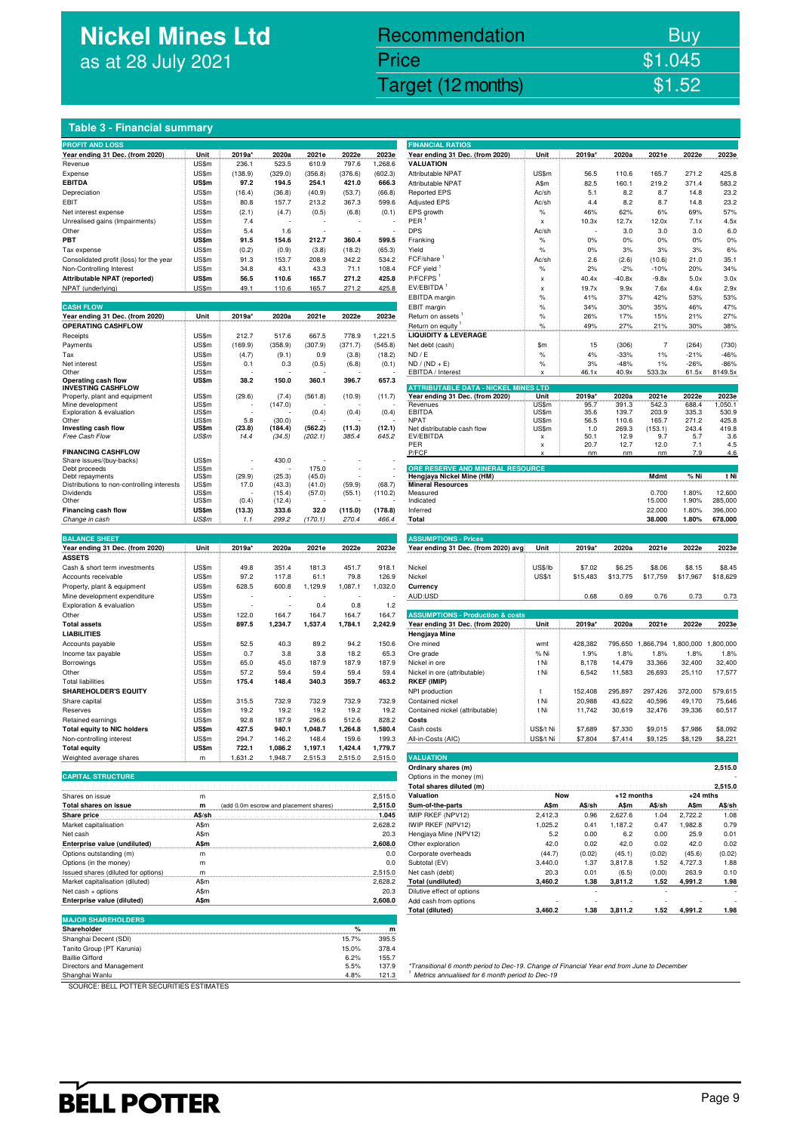## **Nickel Mines Ltd** as at 28 July 2021

## Nickel Mines Ltd (Nickel Mines Ltd (Nickel Mines Ltd (Nickel Mines Ltd (Nickel Mines Ltd Computer) \$1.52 Recommendation Buy Price \$1.045

| Table 3 - Financial summary                                   |                |                                        |                  |                  |                  |                    |                                                                                                                                               |                         |                  |                  |                      |                  |                    |
|---------------------------------------------------------------|----------------|----------------------------------------|------------------|------------------|------------------|--------------------|-----------------------------------------------------------------------------------------------------------------------------------------------|-------------------------|------------------|------------------|----------------------|------------------|--------------------|
| <b>PROFIT AND LOSS</b>                                        |                |                                        |                  |                  |                  |                    | <b>FINANCIAL RATIOS</b>                                                                                                                       |                         |                  |                  |                      |                  |                    |
| Year ending 31 Dec. (from 2020)                               | Unit           | 2019a*                                 | 2020a            | 2021e            | 2022e            | 2023e              | Year ending 31 Dec. (from 2020)<br><b>VALUATION</b>                                                                                           | Unit                    | 2019a*           | 2020a            | 2021e                | 2022e            | 2023e              |
| Revenue<br>Expense                                            | US\$m<br>US\$m | 236.1<br>(138.9)                       | 523.5<br>(329.0) | 610.9<br>(356.8) | 797.6<br>(376.6) | 1,268.6<br>(602.3) | Attributable NPAT                                                                                                                             | US\$m                   | 56.5             | 110.6            | 165.7                | 271.2            | 425.8              |
| <b>EBITDA</b>                                                 | US\$m          | 97.2                                   | 194.5            | 254.1            | 421.0            | 666.3              | Attributable NPAT                                                                                                                             | A\$m                    | 82.5             | 160.1            | 219.2                | 371.4            | 583.2              |
| Depreciation                                                  | US\$m          | (16.4)                                 | (36.8)           | (40.9)           | (53.7)           | (66.8)             | <b>Reported EPS</b>                                                                                                                           | Ac/sh                   | 5.1              | 8.2              | 8.7                  | 14.8             | 23.2               |
| EBIT                                                          | US\$m          | 80.8                                   | 157.7            | 213.2            | 367.3            | 599.6              | <b>Adjusted EPS</b>                                                                                                                           | Ac/sh                   | 4.4              | 8.2              | 8.7                  | 14.8             | 23.2               |
| Net interest expense<br>Unrealised gains (Impairments)        | US\$m          | (2.1)                                  | (4.7)            | (0.5)            | (6.8)            | (0.1)              | EPS growth<br>PER                                                                                                                             | $\%$                    | 46%              | 62%              | 6%                   | 69%              | 57%                |
| Other                                                         | US\$m<br>US\$m | 7.4<br>5.4                             | 1.6              |                  |                  |                    | <b>DPS</b>                                                                                                                                    | $\pmb{\times}$<br>Ac/sh | 10.3x            | 12.7x<br>3.0     | 12.0x<br>3.0         | 7.1x<br>3.0      | 4.5x<br>6.0        |
| PBT                                                           | US\$m          | 91.5                                   | 154.6            | 212.7            | 360.4            | 599.5              | Franking                                                                                                                                      | $\%$                    | 0%               | 0%               | 0%                   | 0%               | 0%                 |
| Tax expense                                                   | US\$m          | (0.2)                                  | (0.9)            | (3.8)            | (18.2)           | (65.3)             | Yield                                                                                                                                         | $\%$                    | 0%               | 3%               | 3%                   | 3%               | 6%                 |
| Consolidated profit (loss) for the year                       | US\$m          | 91.3                                   | 153.7            | 208.9            | 342.2            | 534.2              | FCF/share                                                                                                                                     | Ac/sh                   | 2.6              | (2.6)            | (10.6)               | 21.0             | 35.1               |
| Non-Controlling Interest                                      | US\$m          | 34.8                                   | 43.1             | 43.3             | 71.1             | 108.4              | FCF yield                                                                                                                                     | $\%$                    | 2%               | $-2%$            | $-10%$               | 20%              | 34%                |
| Attributable NPAT (reported)                                  | US\$m<br>US\$m | 56.5                                   | 110.6            | 165.7<br>165.7   | 271.2<br>271.2   | 425.8<br>425.8     | P/FCFPS<br>EV/EBITDA                                                                                                                          | x                       | 40.4x<br>19.7x   | $-40.8x$         | $-9.8x$              | 5.0x             | 3.0x<br>2.9x       |
| NPAT (underlying)                                             |                | 49.1                                   | 110.6            |                  |                  |                    | EBITDA margin                                                                                                                                 | X<br>$\%$               | 41%              | 9.9x<br>37%      | 7.6x<br>42%          | 4.6x<br>53%      | 53%                |
| <b>CASH FLOW</b>                                              |                |                                        |                  |                  |                  |                    | EBIT margin                                                                                                                                   | $\%$                    | 34%              | 30%              | 35%                  | 46%              | 47%                |
| Year ending 31 Dec. (from 2020)                               | Unit           | 2019a*                                 | 2020a            | 2021e            | 2022e            | 2023e              | Return on assets                                                                                                                              | $\%$                    | 26%              | 17%              | 15%                  | 21%              | 27%                |
| <b>OPERATING CASHFLOW</b>                                     |                |                                        |                  |                  |                  |                    | Return on equity                                                                                                                              | $\%$                    | 49%              | 27%              | 21%                  | 30%              | 38%                |
| Receipts                                                      | US\$m          | 212.7                                  | 517.6            | 667.5            | 778.9            | 1,221.5            | <b>LIQUIDITY &amp; LEVERAGE</b>                                                                                                               |                         |                  |                  |                      |                  |                    |
| Payments<br>Tax                                               | US\$m<br>US\$m | (169.9)<br>(4.7)                       | (358.9)<br>(9.1) | (307.9)<br>0.9   | (371.7)<br>(3.8) | (545.8)<br>(18.2)  | Net debt (cash)<br>ND / E                                                                                                                     | \$m<br>$\%$             | 15<br>4%         | (306)<br>$-33%$  | $\overline{7}$<br>1% | (264)<br>$-21%$  | (730)<br>$-46%$    |
| Net interest                                                  | US\$m          | 0.1                                    | 0.3              | (0.5)            | (6.8)            | (0.1)              | $ND / (ND + E)$                                                                                                                               | $\%$                    | 3%               | $-48%$           | 1%                   | $-26%$           | $-86%$             |
| Other                                                         | US\$m          |                                        |                  |                  |                  |                    | EBITDA / Interest                                                                                                                             | x                       | 46.1x            | 40.9x            | 533.3x               | 61.5x            | 8149.5x            |
| Operating cash flow<br><b>INVESTING CASHFLOW</b>              | US\$m          | 38.2                                   | 150.0            | 360.1            | 396.7            | 657.3              | <b>ATTRIBUTABLE DATA - NICKEL MINES LTD</b>                                                                                                   |                         |                  |                  |                      |                  |                    |
| Property, plant and equipment                                 | US\$m          | (29.6)                                 | (7.4)            | (561.8)          | (10.9)           | (11.7)             | Year ending 31 Dec. (from 2020)                                                                                                               | Unit                    | 2019a*           | 2020a            | 2021e                | 2022e            | 2023e              |
| Mine development                                              | US\$m          |                                        | (147.0)          |                  |                  |                    | Revenues                                                                                                                                      | US\$m                   | 95.7             | 391.3            | 542.3                | 688.4            | 1,050.1            |
| Exploration & evaluation<br>Other                             | US\$m<br>US\$m | 5.8                                    | (30.0)           | (0.4)            | (0.4)            | (0.4)              | <b>EBITDA</b><br><b>NPAT</b>                                                                                                                  | US\$m<br>US\$m          | 35.6<br>56.5     | 139.7<br>110.6   | 203.9<br>165.7       | 335.3<br>271.2   | 530.9<br>425.8     |
| Investing cash flow                                           | US\$m          | (23.8)                                 | (184.4)          | (562.2)          | (11.3)           | (12.1)             | Net distributable cash flow                                                                                                                   | US\$m                   | 1.0              | 269.3            | (153.1)              | 243.4            | 419.8              |
| Free Cash Flow                                                | US\$m          | 14.4                                   | (34.5)           | (202.1)          | 385.4            | 645.2              | EV/EBITDA                                                                                                                                     | $\pmb{\times}$          | 50.1             | 12.9             | 9.7                  | 5.7              | 3.6                |
| <b>FINANCING CASHFLOW</b>                                     |                |                                        |                  |                  |                  |                    | PER<br>P/FCF                                                                                                                                  | $\pmb{\times}$<br>x     | 20.7<br>nm       | 12.7<br>nm       | 12.0<br>nm           | 7.1<br>7.9       | 4.5<br>4.6         |
| Share issues/(buy-backs)                                      | US\$m          |                                        | 430.0            |                  |                  |                    |                                                                                                                                               |                         |                  |                  |                      |                  |                    |
| Debt proceeds                                                 | US\$m          |                                        |                  | 175.0            |                  |                    | ORE RESERVE AND MINERAL RESOURCE<br>Hengjaya Nickel Mine (HM)                                                                                 |                         |                  |                  | Mdmt                 | % Ni             | t Ni               |
| Debt repayments<br>Distributions to non-controlling interests | US\$m<br>US\$m | (29.9)<br>17.0                         | (25.3)<br>(43.3) | (45.0)<br>(41.0) | (59.9)           | (68.7)             | <b>Mineral Resources</b>                                                                                                                      |                         |                  |                  |                      |                  |                    |
| Dividends                                                     | US\$m          |                                        | (15.4)           | (57.0)           | (55.1)           | (110.2)            | Measured                                                                                                                                      |                         |                  |                  | 0.700                | 1.80%            | 12,600             |
| Other<br>Financing cash flow                                  | US\$m<br>US\$m | (0.4)                                  | (12.4)<br>333.6  | 32.0             |                  |                    | Indicated                                                                                                                                     |                         |                  |                  | 15.000               | 1.90%            | 285,000            |
| Change in cash                                                | US\$m          | (13.3)<br>1.1                          | 299.2            | (170.1)          | (115.0)<br>270.4 | (178.8)<br>466.4   | Inferred<br>Total                                                                                                                             |                         |                  |                  | 22.000<br>38.000     | 1.80%<br>1.80%   | 396,000<br>678,000 |
|                                                               |                |                                        |                  |                  |                  |                    |                                                                                                                                               |                         |                  |                  |                      |                  |                    |
| <b>BALANCE SHEET</b>                                          |                |                                        |                  |                  |                  |                    | <b>ASSUMPTIONS - Prices</b>                                                                                                                   |                         |                  |                  |                      |                  |                    |
| Year ending 31 Dec. (from 2020)                               | Unit           | 2019a*                                 | 2020a            | 2021e            | 2022e            | 2023e              | Year ending 31 Dec. (from 2020) avg                                                                                                           | Unit                    | 2019a*           | 2020a            | 2021e                | 2022e            | 2023e              |
| <b>ASSETS</b>                                                 |                |                                        |                  |                  |                  |                    |                                                                                                                                               |                         |                  |                  |                      |                  |                    |
| Cash & short term investments                                 | US\$m          | 49.8<br>97.2                           | 351.4<br>117.8   | 181.3<br>61.1    | 451.7            | 918.1<br>126.9     | Nickel                                                                                                                                        | US\$/lb                 | \$7.02           | \$6.25           | \$8.06               | \$8.15           | \$8.45             |
| Accounts receivable<br>Property, plant & equipment            | US\$m<br>US\$m | 628.5                                  | 600.8            | 1,129.9          | 79.8<br>1,087.1  | 1,032.0            | Nickel<br>Currency                                                                                                                            | <b>US\$/t</b>           | \$15,483         | \$13,775         | \$17,759             | \$17,967         | \$18,629           |
| Mine development expenditure                                  | US\$m          |                                        |                  |                  |                  |                    | AUD:USD                                                                                                                                       |                         | 0.68             | 0.69             | 0.76                 | 0.73             | 0.73               |
| Exploration & evaluation                                      | US\$m          |                                        |                  | 0.4              | 0.8              | 1.2                |                                                                                                                                               |                         |                  |                  |                      |                  |                    |
| Other                                                         | US\$m          | 122.0                                  | 164.7            | 164.7            | 164.7            | 164.7              | <b>ASSUMPTIONS - Production &amp; costs</b>                                                                                                   |                         |                  |                  |                      |                  |                    |
| <b>Total assets</b>                                           | US\$m          | 897.5                                  | 1,234.7          | 1,537.4          | 1,784.1          | 2,242.9            | Year ending 31 Dec. (from 2020)                                                                                                               | Unit                    | 2019a*           | 2020a            | 2021e                | 2022e            | 2023e              |
| LIABILITIES<br>Accounts payable                               | US\$m          | 52.5                                   | 40.3             | 89.2             | 94.2             | 150.6              | Hengjaya Mine<br>Ore mined                                                                                                                    | wmt                     | 428,382          | 795,650          | 1,866,794 1,800,000  |                  | 1,800,000          |
| Income tax payable                                            | US\$m          | 0.7                                    | 3.8              | 3.8              | 18.2             | 65.3               | Ore grade                                                                                                                                     | % Ni                    | 1.9%             | 1.8%             | 1.8%                 | 1.8%             | 1.8%               |
| Borrowings                                                    | US\$m          | 65.0                                   | 45.0             | 187.9            | 187.9            | 187.9              | Nickel in ore                                                                                                                                 | t Ni                    | 8,178            | 14,479           | 33,366               | 32,400           | 32,400             |
| Other                                                         | US\$m          | 57.2                                   | 59.4             | 59.4             | 59.4             | 59.4               | Nickel in ore (attributable)                                                                                                                  | t Ni                    | 6,542            | 11,583           | 26,693               | 25,110           | 17,577             |
| <b>Total liabilities</b>                                      | US\$m          | 175.4                                  | 148.4            | 340.3            | 359.7            | 463.2              | <b>RKEF (IMIP)</b>                                                                                                                            |                         |                  |                  |                      |                  |                    |
| <b>SHAREHOLDER'S EQUITY</b>                                   |                |                                        |                  |                  |                  |                    | NPI production                                                                                                                                | t                       | 152,408          | 295,897          | 297.426              | 372.000          | 579,615            |
| Share capital<br>Reserves                                     | US\$m<br>US\$m | 315.5<br>19.2                          | 732.9<br>19.2    | 732.9<br>19.2    | 732.9<br>19.2    | 732.9<br>19.2      | Contained nickel<br>Contained nickel (attributable)                                                                                           | t Ni<br>t Ni            | 20,988<br>11,742 | 43,622<br>30,619 | 40,596<br>32,476     | 49,170<br>39,336 | 75,646<br>60,517   |
| Retained earnings                                             | US\$m          | 92.8                                   | 187.9            | 296.6            | 512.6            | 828.2              | Costs                                                                                                                                         |                         |                  |                  |                      |                  |                    |
| Total equity to NIC holders                                   | US\$m          | 427.5                                  | 940.1            | 1,048.7          | 1,264.8          | 1,580.4            | Cash costs                                                                                                                                    | US\$/t Ni               | \$7,689          | \$7,330          | \$9,015              | \$7,986          | \$8,092            |
| Non-controlling interest                                      | US\$m          | 294.7                                  | 146.2            | 148.4            | 159.6            | 199.3              | All-in-Costs (AIC)                                                                                                                            | US\$/t Ni               | \$7,804          | \$7,414          | \$9,125              | \$8,129          | \$8,221            |
| <b>Total equity</b>                                           | US\$m          | 722.1                                  | 1,086.2          | 1,197.1          | 1,424.4          | 1,779.7            |                                                                                                                                               |                         |                  |                  |                      |                  |                    |
| Weighted average shares                                       | m              | 1,631.2                                | 1,948.7          | 2,515.3          | 2,515.0          | 2,515.0            | <b>VALUATION</b>                                                                                                                              |                         |                  |                  |                      |                  |                    |
| <b>CAPITAL STRUCTURE</b>                                      |                |                                        |                  |                  |                  |                    | Ordinary shares (m)                                                                                                                           |                         |                  |                  |                      |                  | 2,515.0            |
|                                                               |                |                                        |                  |                  |                  |                    | Options in the money (m)<br>Total shares diluted (m)                                                                                          |                         |                  |                  |                      |                  | 2,515.0            |
| Shares on issue                                               | m              |                                        |                  |                  |                  | 2,515.0            | Valuation                                                                                                                                     | Now                     |                  | +12 months       |                      | $+24$ mths       |                    |
| <b>Total shares on issue</b>                                  | m              | (add 0.0m escrow and placement shares) |                  |                  |                  | 2,515.0            | Sum-of-the-parts                                                                                                                              | A\$m                    | A\$/sh           | A\$m             | A\$/sh               | A\$m             | A\$/sh             |
| <b>Share price</b>                                            | A\$/sh         |                                        |                  |                  |                  | 1.045              | IMIP RKEF (NPV12)                                                                                                                             | 2,412.3                 | 0.96             | 2,627.6          | 1.04                 | 2,722.2          | 1.08               |
| Market capitalisation                                         | A\$m           |                                        |                  |                  |                  | 2,628.2            | IWIP RKEF (NPV12)                                                                                                                             | 1,025.2                 | 0.41             | 1,187.2          | 0.47                 | 1,982.8          | 0.79               |
| Net cash                                                      | A\$m           |                                        |                  |                  |                  | 20.3               | Hengjaya Mine (NPV12)                                                                                                                         | 5.2                     | 0.00             | 6.2              | 0.00                 | 25.9             | 0.01               |
| Enterprise value (undiluted)<br>Options outstanding (m)       | A\$m<br>m      |                                        |                  |                  |                  | 2,608.0<br>0.0     | Other exploration<br>Corporate overheads                                                                                                      | 42.0<br>(44.7)          | 0.02<br>(0.02)   | 42.0<br>(45.1)   | 0.02<br>(0.02)       | 42.0<br>(45.6)   | 0.02<br>(0.02)     |
| Options (in the money)                                        | m              |                                        |                  |                  |                  | 0.0                | Subtotal (EV)                                                                                                                                 | 3,440.0                 | 1.37             | 3,817.8          | 1.52                 | 4,727.3          | 1.88               |
| Issued shares (diluted for options)                           | m              |                                        |                  |                  |                  | 2,515.0            | Net cash (debt)                                                                                                                               | 20.3                    | 0.01             | (6.5)            | (0.00)               | 263.9            | 0.10               |
| Market capitalisation (diluted)                               | A\$m           |                                        |                  |                  |                  | 2,628.2            | <b>Total (undiluted)</b>                                                                                                                      | 3,460.2                 | 1.38             | 3,811.2          | 1.52                 | 4,991.2          | 1.98               |
| Net cash + options                                            | A\$m           |                                        |                  |                  |                  | 20.3               | Dilutive effect of options                                                                                                                    |                         |                  |                  |                      |                  |                    |
| Enterprise value (diluted)                                    | A\$m           |                                        |                  |                  |                  | 2,608.0            | Add cash from options                                                                                                                         |                         |                  |                  |                      |                  |                    |
| <b>MAJOR SHAREHOLDERS</b>                                     |                |                                        |                  |                  |                  |                    | <b>Total (diluted)</b>                                                                                                                        | 3,460.2                 | 1.38             | 3,811.2          | 1.52                 | 4,991.2          | 1.98               |
| Shareholder                                                   |                |                                        |                  |                  | %                | m                  |                                                                                                                                               |                         |                  |                  |                      |                  |                    |
| Shanghai Decent (SDI)                                         |                |                                        |                  |                  | 15.7%            | 395.5              |                                                                                                                                               |                         |                  |                  |                      |                  |                    |
| Tanito Group (PT Karunia)                                     |                |                                        |                  |                  | 15.0%            | 378.4              |                                                                                                                                               |                         |                  |                  |                      |                  |                    |
| <b>Baillie Gifford</b>                                        |                |                                        |                  |                  | 6.2%             | 155.7              |                                                                                                                                               |                         |                  |                  |                      |                  |                    |
| Directors and Management                                      |                |                                        |                  |                  | 5.5%             | 137.9              | *Transitional 6 month period to Dec-19. Change of Financial Year end from June to December<br>Metrics annualised for 6 month period to Dec-19 |                         |                  |                  |                      |                  |                    |
| Shanghai Wanlu                                                |                |                                        |                  |                  | 4.8%             | 121.3              |                                                                                                                                               |                         |                  |                  |                      |                  |                    |

| <b>FINANCIAL RATIOS</b>                                                                                      |               |              |                |                |                |            |
|--------------------------------------------------------------------------------------------------------------|---------------|--------------|----------------|----------------|----------------|------------|
| Year ending 31 Dec. (from 2020)<br>VALUATION                                                                 | Unit          | 2019a*       | 2020a          | 2021e          | 2022e          | 2023e      |
|                                                                                                              |               |              |                |                |                |            |
| Attributable NPAT                                                                                            | US\$m         | 56.5<br>82.5 | 110.6<br>160.1 | 165.7<br>219.2 | 271.2<br>371.4 | 425.8      |
| Attributable NPAT                                                                                            | A\$m          |              |                |                |                | 583.2      |
| <b>Reported EPS</b>                                                                                          | Ac/sh         | 5.1          | 8.2            | 8.7            | 14.8           | 23.2       |
| <b>Adjusted EPS</b>                                                                                          | Ac/sh         | 4.4          | 8.2            | 8.7            | 14.8           | 23.2       |
| EPS growth                                                                                                   | %             | 46%          | 62%            | 6%             | 69%            | 57%        |
| PER                                                                                                          | x             | 10.3x        | 12.7x          | 12.0x          | 7.1x           | 4.5x       |
| <b>DPS</b>                                                                                                   | Ac/sh         |              | 3.0            | 3.0            | 3.0            | 6.0        |
| Franking                                                                                                     | %             | 0%           | 0%             | 0%             | 0%             | 0%         |
| Yield                                                                                                        | $\%$          | 0%           | 3%             | 3%             | 3%             | 6%         |
| FCF/share 1                                                                                                  | Ac/sh         | 2.6          | (2.6)          | (10.6)         | 21.0           | 35.1       |
| FCF yield 1                                                                                                  | %             | 2%           | $-2%$          | $-10%$         | 20%            | 34%        |
| P/FCFPS <sup>1</sup>                                                                                         | x             | 40.4x        | $-40.8x$       | $-9.8x$        | 5.0x           | 3.0x       |
| EV/EBITDA <sup>1</sup>                                                                                       | X             | 19.7x        | 9.9x           | 7.6x           | 4.6x           | 2.9x       |
| EBITDA margin                                                                                                | %             | 41%          | 37%            | 42%            | 53%            | 53%        |
| <b>EBIT</b> margin                                                                                           | %             | 34%          | 30%            | 35%            | 46%            | 47%        |
| Return on assets                                                                                             | %             | 26%          | 17%            | 15%            | 21%            | 27%        |
| Return on equity                                                                                             | ℅             | 49%          | 27%            | 21%            | 30%            | 38%        |
| <b>LIQUIDITY &amp; LEVERAGE</b>                                                                              |               |              |                |                |                |            |
|                                                                                                              |               |              |                |                |                |            |
| Net debt (cash)                                                                                              | \$m           | 15           | (306)          | 7              | (264)          | (730)      |
| ND / E                                                                                                       | $\%$          | 4%           | $-33%$         | 1%             | -21%           | -46%       |
| $ND / (ND + E)$                                                                                              | %             | 3%           | $-48%$         | 1%             | $-26%$         | $-86%$     |
| EBITDA / Interest                                                                                            | X             | 46.1x        | 40.9x          | 533.3x         | 61.5x          | 8149.5x    |
| <b>ATTRIBUTABLE DATA - NICKEL MINES LTD</b>                                                                  |               |              |                |                |                |            |
| Year ending 31 Dec. (from 2020)                                                                              | Unit          | 2019a*       | 2020a          | 2021e          | 2022e          | 2023e      |
| Revenues                                                                                                     | US\$m         | 95.7         | 391.3          | 542.3          | 688.4          | 1,050.1    |
| EBITDA                                                                                                       | US\$m         | 35.6         | 139.7          | 203.9          | 335.3          | 530.9      |
| <b>NPAT</b>                                                                                                  | US\$m         | 56.5         | 110.6          | 165.7          | 271.2          | 425.8      |
| Net distributable cash flow                                                                                  | US\$m         | 1.0          | 269.3          | (153.1)        | 243.4          | 419.8      |
| EV/EBITDA                                                                                                    | x             | 50.1         | 12.9           | 9.7            | 5.7            | 3.6        |
| PER                                                                                                          | X             | 20.7<br>nm   | 12.7<br>nm     | 12.0<br>nm     | 7.1<br>7.9     | 4.5<br>4.6 |
| P/FCF                                                                                                        | x             |              |                |                |                |            |
| ORE RESERVE AND MINERAL RESOURCE                                                                             |               |              |                |                |                |            |
| Hengjaya Nickel Mine (HM)                                                                                    |               |              |                | Mdmt           | % Ni           | t Ni       |
| <b>Mineral Resources</b>                                                                                     |               |              |                |                |                |            |
| Measured                                                                                                     |               |              |                | 0.700          | 1.80%          | 12,600     |
| Indicated                                                                                                    |               |              |                | 15.000         | 1.90%          | 285,000    |
| Inferred                                                                                                     |               |              |                | 22.000         | 1.80%          | 396,000    |
| Total                                                                                                        |               |              |                | 38.000         | 1.80%          | 678,000    |
|                                                                                                              |               |              |                |                |                |            |
|                                                                                                              |               |              |                |                |                |            |
| <b>ASSUMPTIONS - Prices</b>                                                                                  |               |              |                |                |                |            |
| Year ending 31 Dec. (from 2020) avg                                                                          | Unit          | 2019a*       | 2020a          | 2021e          | 2022e          | 2023e      |
|                                                                                                              |               |              |                |                |                |            |
| Nickel                                                                                                       | US\$/lb       | \$7.02       | \$6.25         | \$8.06         | \$8.15         | \$8.45     |
| Nickel                                                                                                       | <b>US\$/t</b> | \$15,483     | \$13,775       | \$17,759       | \$17,967       | \$18,629   |
| Currency                                                                                                     |               |              |                |                |                |            |
|                                                                                                              |               |              |                |                |                |            |
| AUD:USD                                                                                                      |               | 0.68         | 0.69           | 0.76           | 0.73           | 0.73       |
|                                                                                                              |               |              |                |                |                |            |
| <b>ASSUMPTIONS - Production &amp; costs</b>                                                                  |               |              |                |                |                |            |
| Year ending 31 Dec. (from 2020)                                                                              | Unit          | 2019a*       | 2020a          | 2021e          | 2022e          | 2023e      |
| Hengjaya Mine                                                                                                |               |              |                |                |                |            |
| Ore mined                                                                                                    | wmt           | 428,382      | 795,650        | 1,866,794      | 1,800,000      | 1,800,000  |
| Ore grade                                                                                                    | % Ni          | 1.9%         | 1.8%           | 1.8%           | 1.8%           | 1.8%       |
| Nickel in ore                                                                                                | t Ni          | 8,178        | 14,479         | 33,366         | 32,400         | 32,400     |
| Nickel in ore (attributable)                                                                                 | t Ni          | 6,542        | 11,583         | 26,693         | 25,110         | 17,577     |
| RKEF (IMIP)                                                                                                  |               |              |                |                |                |            |
| NPI production                                                                                               | t             | 152,408      | 295,897        | 297,426        | 372,000        | 579,615    |
| Contained nickel                                                                                             | t Ni          | 20,988       | 43,622         | 40,596         | 49,170         | 75,646     |
| Contained nickel (attributable)                                                                              | t Ni          | 11,742       | 30,619         | 32,476         | 39,336         | 60,517     |
| Costs                                                                                                        |               |              |                |                |                |            |
| Cash costs                                                                                                   | US\$/t Ni     | \$7,689      | \$7,330        | \$9,015        | \$7,986        | \$8,092    |
| All-in-Costs (AIC)                                                                                           | US\$/t Ni     | \$7,804      | \$7,414        | \$9,125        | \$8,129        | \$8,221    |
|                                                                                                              |               |              |                |                |                |            |
| <b>VALUATION</b>                                                                                             |               |              |                |                |                |            |
|                                                                                                              |               |              |                |                |                | 2,515.0    |
| Ordinary shares (m)                                                                                          |               |              |                |                |                |            |
| Options in the money (m)                                                                                     |               |              |                |                |                |            |
| Total shares diluted (m)                                                                                     |               |              |                |                |                | 2,515.0    |
| Valuation                                                                                                    |               | Now          | +12 months     |                | +24 mths       |            |
| Sum-of-the-parts                                                                                             |               | A\$m A\$/sh  | A\$m_          | A\$/sh         | A\$m           | A\$/sh     |
| IMIP RKEF (NPV12)                                                                                            | 2,412.3       | 0.96         | 2,627.6        | 1.04           | 2,722.2        | 1.08       |
| IWIP RKEF (NPV12)                                                                                            | 1,025.2       | 0.41         | 1,187.2        | 0.47           | 1,982.8        | 0.79       |
|                                                                                                              | 5.2           | 0.00         | 6.2            | 0.00           | 25.9           | 0.01       |
| Hengjaya Mine (NPV12)<br>Other exploration                                                                   | 42.0          | 0.02         | 42.0           | 0.02           | 42.0           | 0.02       |
| Corporate overheads                                                                                          | (44.7)        | (0.02)       | (45.1)         | (0.02)         | (45.6)         | (0.02)     |
|                                                                                                              | 3,440.0       | 1.37         | 3,817.8        | 1.52           | 4,727.3        | 1.88       |
|                                                                                                              | 20.3          | 0.01         | (6.5)          | (0.00)         | 263.9          | 0.10       |
|                                                                                                              | 3,460.2       | 1.38         | 3,811.2        | 1.52           | 4,991.2        | 1.98       |
|                                                                                                              |               |              |                |                |                |            |
| Subtotal (EV)<br>Net cash (debt)<br>Total (undiluted)<br>Dilutive effect of options<br>Add cash from options |               |              |                |                |                |            |
| <b>Total (diluted)</b>                                                                                       | 3,460.2       | 1.38         | 3,811.2        | 1.52           | 4,991.2        | 1.98       |

SOURCE: BELL POTTER SECURITIES ESTIMATES